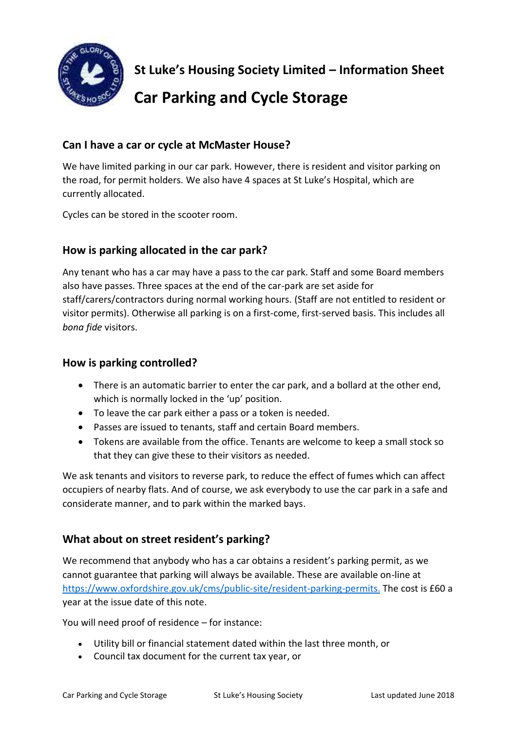

**St Luke's Housing Society Limited – Information Sheet**

# **Car Parking and Cycle Storage**

# **Can I have a car or cycle at McMaster House?**

We have limited parking in our car park. However, there is resident and visitor parking on the road, for permit holders. We also have 4 spaces at St Luke's Hospital, which are currently allocated.

Cycles can be stored in the scooter room.

# **How is parking allocated in the car park?**

Any tenant who has a car may have a pass to the car park. Staff and some Board members also have passes. Three spaces at the end of the car-park are set aside for staff/carers/contractors during normal working hours. (Staff are not entitled to resident or visitor permits). Otherwise all parking is on a first-come, first-served basis. This includes all *bona fide* visitors.

## **How is parking controlled?**

- There is an automatic barrier to enter the car park, and a bollard at the other end, which is normally locked in the 'up' position.
- To leave the car park either a pass or a token is needed.
- Passes are issued to tenants, staff and certain Board members.
- Tokens are available from the office. Tenants are welcome to keep a small stock so that they can give these to their visitors as needed.

We ask tenants and visitors to reverse park, to reduce the effect of fumes which can affect occupiers of nearby flats. And of course, we ask everybody to use the car park in a safe and considerate manner, and to park within the marked bays.

## **What about on street resident's parking?**

We recommend that anybody who has a car obtains a resident's parking permit, as we cannot guarantee that parking will always be available. These are available on-line at <https://www.oxfordshire.gov.uk/cms/public-site/resident-parking-permits.> The cost is £60 a year at the issue date of this note.

You will need proof of residence – for instance:

- Utility bill or financial statement dated within the last three month, or
- Council tax document for the current tax year, or